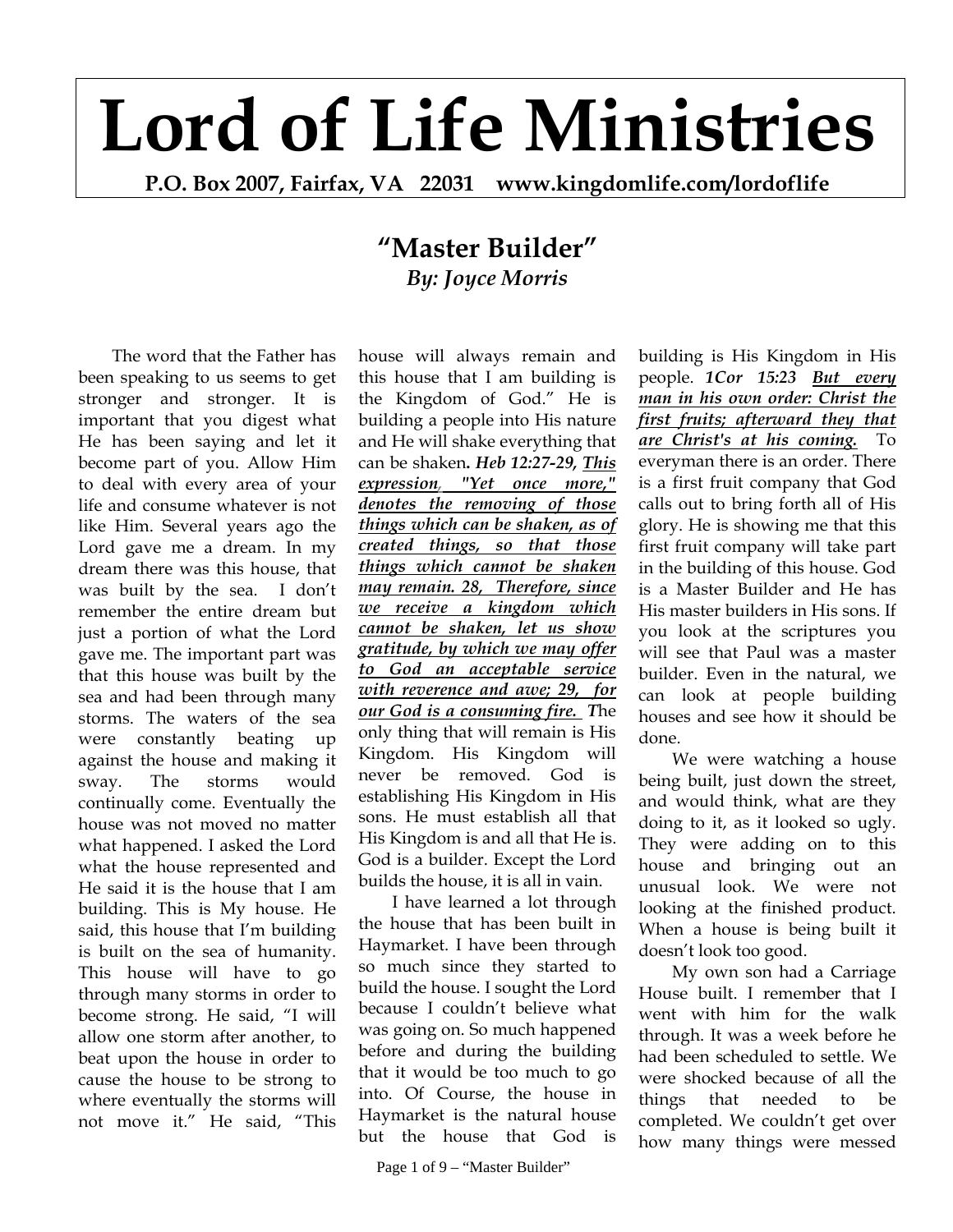## **Lord of Life Ministries**

**P.O. Box 2007, Fairfax, VA 22031 www.kingdomlife.com/lordoflife** 

## **"Master Builder"** *By: Joyce Morris*

The word that the Father has been speaking to us seems to get stronger and stronger. It is important that you digest what He has been saying and let it become part of you. Allow Him to deal with every area of your life and consume whatever is not like Him. Several years ago the Lord gave me a dream. In my dream there was this house, that was built by the sea. I don't remember the entire dream but just a portion of what the Lord gave me. The important part was that this house was built by the sea and had been through many storms. The waters of the sea were constantly beating up against the house and making it sway. The storms would continually come. Eventually the house was not moved no matter what happened. I asked the Lord what the house represented and He said it is the house that I am building. This is My house. He said, this house that I'm building is built on the sea of humanity. This house will have to go through many storms in order to become strong. He said, "I will allow one storm after another, to beat upon the house in order to cause the house to be strong to where eventually the storms will not move it." He said, "This

house will always remain and this house that I am building is the Kingdom of God." He is building a people into His nature and He will shake everything that can be shaken**.** *Heb 12:27-29, This expression, "Yet once more," denotes the removing of those things which can be shaken, as of created things, so that those things which cannot be shaken may remain. 28, Therefore, since we receive a kingdom which cannot be shaken, let us show gratitude, by which we may offer to God an acceptable service with reverence and awe; 29, for our God is a consuming fire. T*he only thing that will remain is His Kingdom. His Kingdom will never be removed. God is establishing His Kingdom in His sons. He must establish all that His Kingdom is and all that He is. God is a builder. Except the Lord builds the house, it is all in vain.

I have learned a lot through the house that has been built in Haymarket. I have been through so much since they started to build the house. I sought the Lord because I couldn't believe what was going on. So much happened before and during the building that it would be too much to go into. Of Course, the house in Haymarket is the natural house but the house that God is

building is His Kingdom in His people.*1Cor 15:23 But every man in his own order: Christ the first fruits; afterward they that are Christ's at his coming.* To everyman there is an order. There is a first fruit company that God calls out to bring forth all of His glory. He is showing me that this first fruit company will take part in the building of this house. God is a Master Builder and He has His master builders in His sons. If you look at the scriptures you will see that Paul was a master builder. Even in the natural, we can look at people building houses and see how it should be done.

We were watching a house being built, just down the street, and would think, what are they doing to it, as it looked so ugly. They were adding on to this house and bringing out an unusual look. We were not looking at the finished product. When a house is being built it doesn't look too good.

My own son had a Carriage House built. I remember that I went with him for the walk through. It was a week before he had been scheduled to settle. We were shocked because of all the things that needed to be completed. We couldn't get over how many things were messed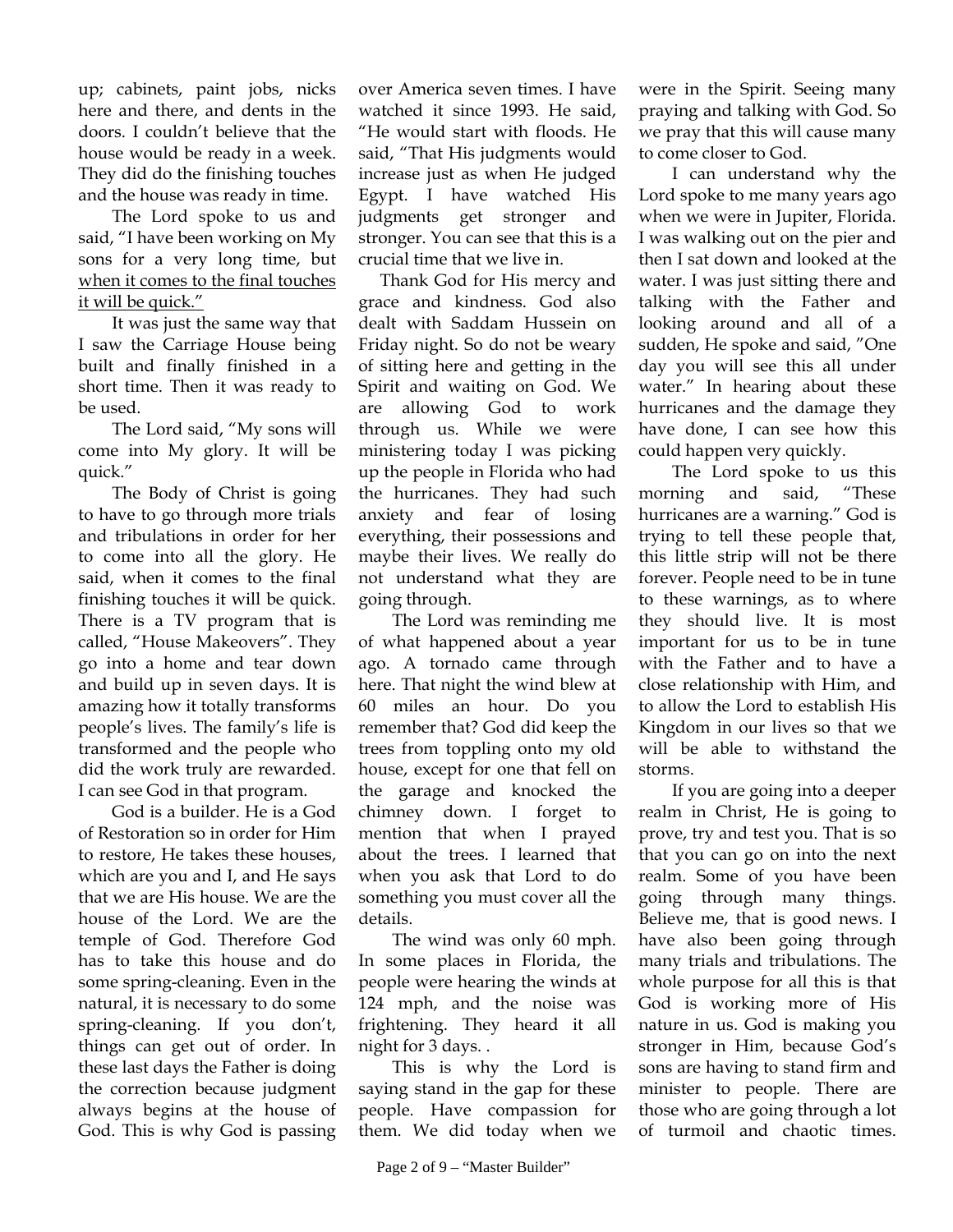up; cabinets, paint jobs, nicks here and there, and dents in the doors. I couldn't believe that the house would be ready in a week. They did do the finishing touches and the house was ready in time.

The Lord spoke to us and said, "I have been working on My sons for a very long time, but when it comes to the final touches it will be quick."

It was just the same way that I saw the Carriage House being built and finally finished in a short time. Then it was ready to be used.

The Lord said, "My sons will come into My glory. It will be quick."

The Body of Christ is going to have to go through more trials and tribulations in order for her to come into all the glory. He said, when it comes to the final finishing touches it will be quick. There is a TV program that is called, "House Makeovers". They go into a home and tear down and build up in seven days. It is amazing how it totally transforms people's lives. The family's life is transformed and the people who did the work truly are rewarded. I can see God in that program.

God is a builder. He is a God of Restoration so in order for Him to restore, He takes these houses, which are you and I, and He says that we are His house. We are the house of the Lord. We are the temple of God. Therefore God has to take this house and do some spring-cleaning. Even in the natural, it is necessary to do some spring-cleaning. If you don't, things can get out of order. In these last days the Father is doing the correction because judgment always begins at the house of God. This is why God is passing

over America seven times. I have watched it since 1993. He said, "He would start with floods. He said, "That His judgments would increase just as when He judged Egypt. I have watched His judgments get stronger and stronger. You can see that this is a crucial time that we live in.

 Thank God for His mercy and grace and kindness. God also dealt with Saddam Hussein on Friday night. So do not be weary of sitting here and getting in the Spirit and waiting on God. We are allowing God to work through us. While we were ministering today I was picking up the people in Florida who had the hurricanes. They had such anxiety and fear of losing everything, their possessions and maybe their lives. We really do not understand what they are going through.

The Lord was reminding me of what happened about a year ago. A tornado came through here. That night the wind blew at 60 miles an hour. Do you remember that? God did keep the trees from toppling onto my old house, except for one that fell on the garage and knocked the chimney down. I forget to mention that when I prayed about the trees. I learned that when you ask that Lord to do something you must cover all the details.

The wind was only 60 mph. In some places in Florida, the people were hearing the winds at 124 mph, and the noise was frightening. They heard it all night for 3 days. .

This is why the Lord is saying stand in the gap for these people. Have compassion for them. We did today when we

were in the Spirit. Seeing many praying and talking with God. So we pray that this will cause many to come closer to God.

I can understand why the Lord spoke to me many years ago when we were in Jupiter, Florida. I was walking out on the pier and then I sat down and looked at the water. I was just sitting there and talking with the Father and looking around and all of a sudden, He spoke and said, "One day you will see this all under water." In hearing about these hurricanes and the damage they have done, I can see how this could happen very quickly.

The Lord spoke to us this morning and said, "These hurricanes are a warning." God is trying to tell these people that, this little strip will not be there forever. People need to be in tune to these warnings, as to where they should live. It is most important for us to be in tune with the Father and to have a close relationship with Him, and to allow the Lord to establish His Kingdom in our lives so that we will be able to withstand the storms.

If you are going into a deeper realm in Christ, He is going to prove, try and test you. That is so that you can go on into the next realm. Some of you have been going through many things. Believe me, that is good news. I have also been going through many trials and tribulations. The whole purpose for all this is that God is working more of His nature in us. God is making you stronger in Him, because God's sons are having to stand firm and minister to people. There are those who are going through a lot of turmoil and chaotic times.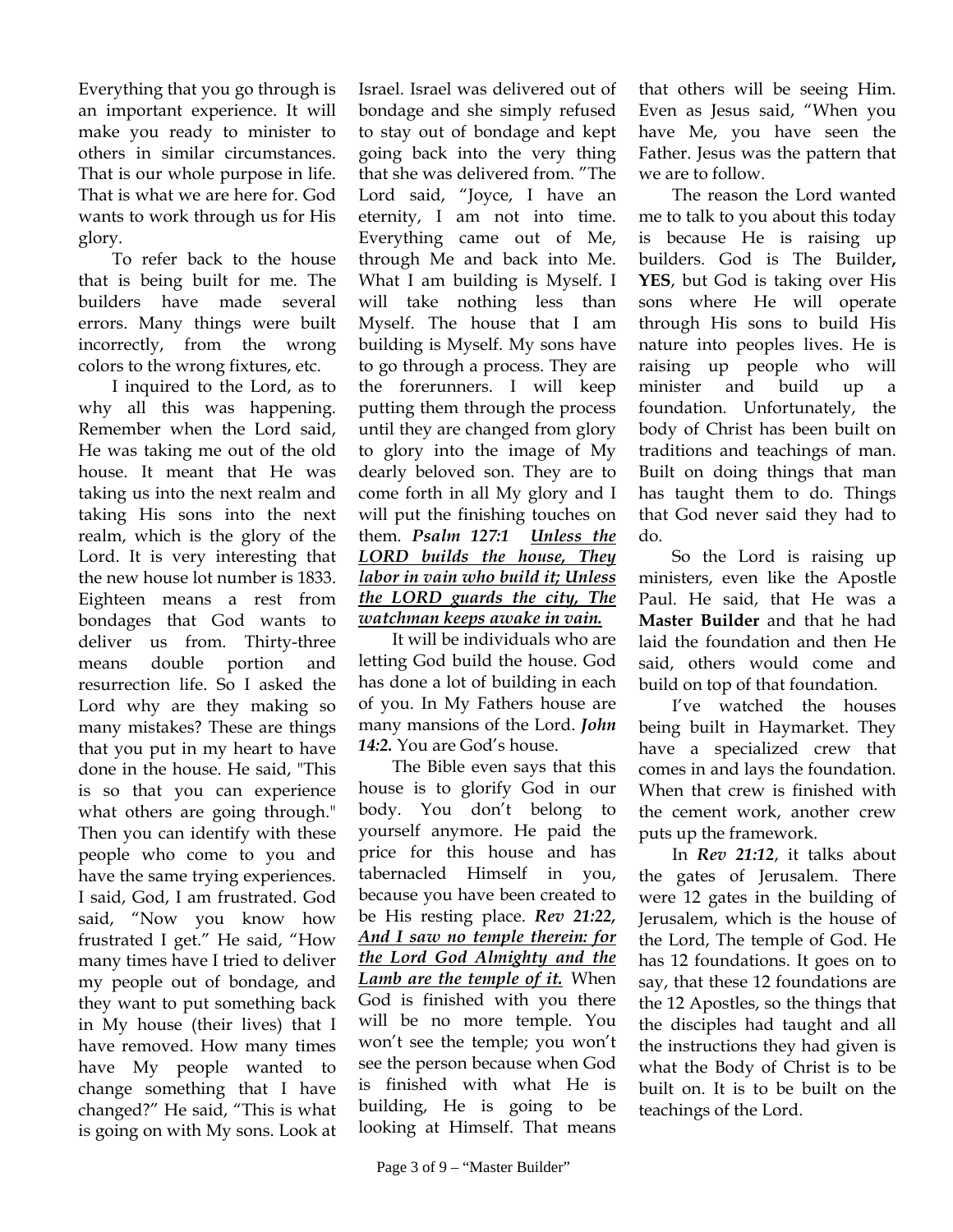Everything that you go through is an important experience. It will make you ready to minister to others in similar circumstances. That is our whole purpose in life. That is what we are here for. God wants to work through us for His glory.

To refer back to the house that is being built for me. The builders have made several errors. Many things were built incorrectly, from the wrong colors to the wrong fixtures, etc.

I inquired to the Lord, as to why all this was happening. Remember when the Lord said, He was taking me out of the old house. It meant that He was taking us into the next realm and taking His sons into the next realm, which is the glory of the Lord. It is very interesting that the new house lot number is 1833. Eighteen means a rest from bondages that God wants to deliver us from. Thirty-three means double portion and resurrection life. So I asked the Lord why are they making so many mistakes? These are things that you put in my heart to have done in the house. He said, "This is so that you can experience what others are going through." Then you can identify with these people who come to you and have the same trying experiences. I said, God, I am frustrated. God said, "Now you know how frustrated I get." He said, "How many times have I tried to deliver my people out of bondage, and they want to put something back in My house (their lives) that I have removed. How many times have My people wanted to change something that I have changed?" He said, "This is what is going on with My sons. Look at

Israel. Israel was delivered out of bondage and she simply refused to stay out of bondage and kept going back into the very thing that she was delivered from. "The Lord said, "Joyce, I have an eternity, I am not into time. Everything came out of Me, through Me and back into Me. What I am building is Myself. I will take nothing less than Myself. The house that I am building is Myself. My sons have to go through a process. They are the forerunners. I will keep putting them through the process until they are changed from glory to glory into the image of My dearly beloved son. They are to come forth in all My glory and I will put the finishing touches on them. *Psalm 127:1 Unless the LORD builds the house, They labor in vain who build it; Unless the LORD guards the city, The watchman keeps awake in vain.* 

It will be individuals who are letting God build the house. God has done a lot of building in each of you. In My Fathers house are many mansions of the Lord. *John 14:2.* You are God's house.

The Bible even says that this house is to glorify God in our body. You don't belong to yourself anymore. He paid the price for this house and has tabernacled Himself in you, because you have been created to be His resting place. *Rev 21:22, And I saw no temple therein: for the Lord God Almighty and the Lamb are the temple of it.* When God is finished with you there will be no more temple. You won't see the temple; you won't see the person because when God is finished with what He is building, He is going to be looking at Himself. That means

that others will be seeing Him. Even as Jesus said, "When you have Me, you have seen the Father. Jesus was the pattern that we are to follow.

The reason the Lord wanted me to talk to you about this today is because He is raising up builders. God is The Builder**, YES**, but God is taking over His sons where He will operate through His sons to build His nature into peoples lives. He is raising up people who will minister and build up a foundation. Unfortunately, the body of Christ has been built on traditions and teachings of man. Built on doing things that man has taught them to do. Things that God never said they had to do.

So the Lord is raising up ministers, even like the Apostle Paul. He said, that He was a **Master Builder** and that he had laid the foundation and then He said, others would come and build on top of that foundation.

I've watched the houses being built in Haymarket. They have a specialized crew that comes in and lays the foundation. When that crew is finished with the cement work, another crew puts up the framework.

In *Rev 21:12*, it talks about the gates of Jerusalem. There were 12 gates in the building of Jerusalem, which is the house of the Lord, The temple of God. He has 12 foundations. It goes on to say, that these 12 foundations are the 12 Apostles, so the things that the disciples had taught and all the instructions they had given is what the Body of Christ is to be built on. It is to be built on the teachings of the Lord.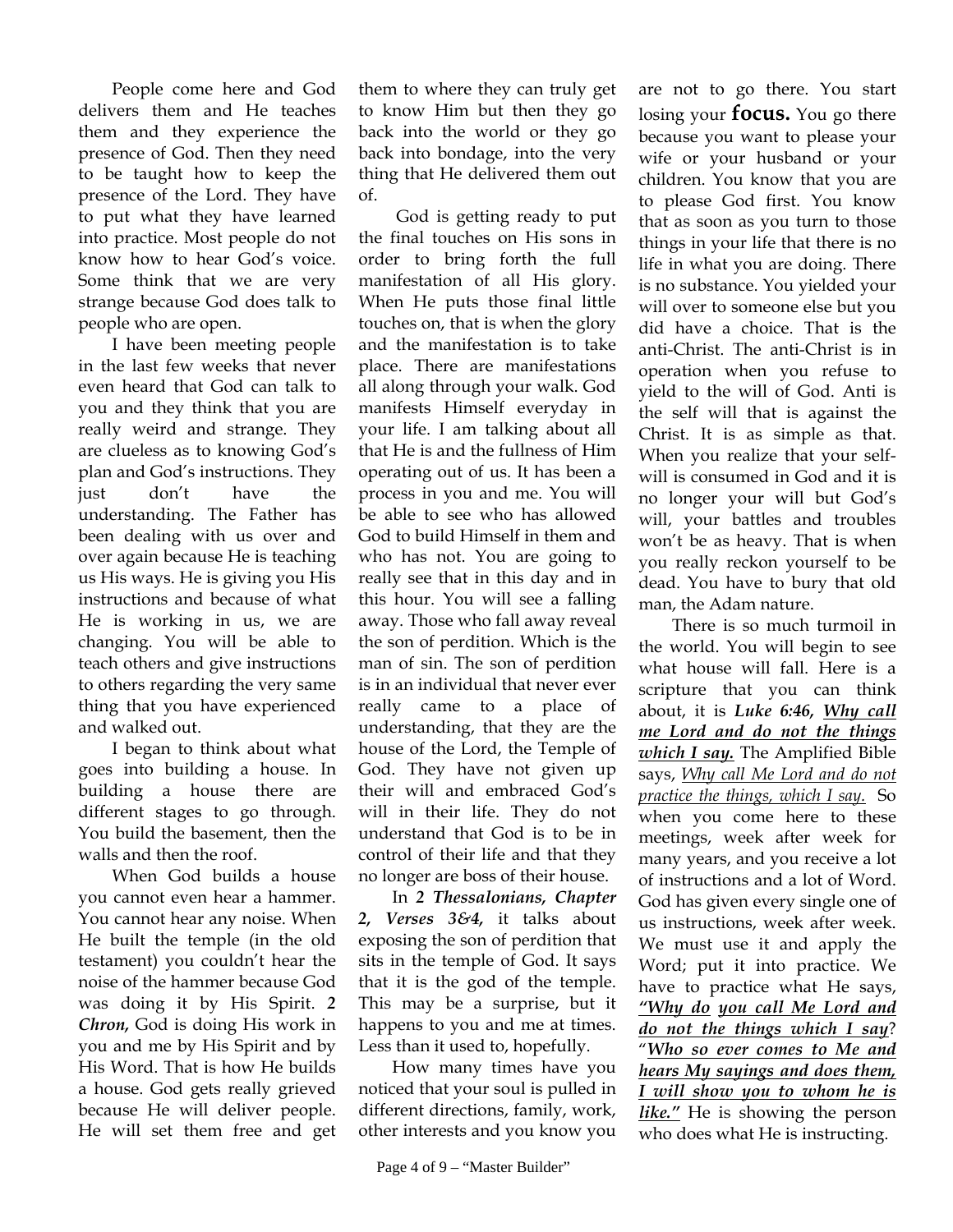People come here and God delivers them and He teaches them and they experience the presence of God. Then they need to be taught how to keep the presence of the Lord. They have to put what they have learned into practice. Most people do not know how to hear God's voice. Some think that we are very strange because God does talk to people who are open.

I have been meeting people in the last few weeks that never even heard that God can talk to you and they think that you are really weird and strange. They are clueless as to knowing God's plan and God's instructions. They just don't have the understanding. The Father has been dealing with us over and over again because He is teaching us His ways. He is giving you His instructions and because of what He is working in us, we are changing. You will be able to teach others and give instructions to others regarding the very same thing that you have experienced and walked out.

I began to think about what goes into building a house. In building a house there are different stages to go through. You build the basement, then the walls and then the roof.

When God builds a house you cannot even hear a hammer. You cannot hear any noise. When He built the temple (in the old testament) you couldn't hear the noise of the hammer because God was doing it by His Spirit. *2 Chron,* God is doing His work in you and me by His Spirit and by His Word. That is how He builds a house. God gets really grieved because He will deliver people. He will set them free and get

them to where they can truly get to know Him but then they go back into the world or they go back into bondage, into the very thing that He delivered them out of.

 God is getting ready to put the final touches on His sons in order to bring forth the full manifestation of all His glory. When He puts those final little touches on, that is when the glory and the manifestation is to take place. There are manifestations all along through your walk. God manifests Himself everyday in your life. I am talking about all that He is and the fullness of Him operating out of us. It has been a process in you and me. You will be able to see who has allowed God to build Himself in them and who has not. You are going to really see that in this day and in this hour. You will see a falling away. Those who fall away reveal the son of perdition. Which is the man of sin. The son of perdition is in an individual that never ever really came to a place of understanding, that they are the house of the Lord, the Temple of God. They have not given up their will and embraced God's will in their life. They do not understand that God is to be in control of their life and that they no longer are boss of their house.

In *2 Thessalonians, Chapter 2, Verses 3&4,* it talks about exposing the son of perdition that sits in the temple of God. It says that it is the god of the temple. This may be a surprise, but it happens to you and me at times. Less than it used to, hopefully.

How many times have you noticed that your soul is pulled in different directions, family, work, other interests and you know you

are not to go there. You start losing your **focus.** You go there because you want to please your wife or your husband or your children. You know that you are to please God first. You know that as soon as you turn to those things in your life that there is no life in what you are doing. There is no substance. You yielded your will over to someone else but you did have a choice. That is the anti-Christ. The anti-Christ is in operation when you refuse to yield to the will of God. Anti is the self will that is against the Christ. It is as simple as that. When you realize that your selfwill is consumed in God and it is no longer your will but God's will, your battles and troubles won't be as heavy. That is when you really reckon yourself to be dead. You have to bury that old man, the Adam nature.

There is so much turmoil in the world. You will begin to see what house will fall. Here is a scripture that you can think about, it is *Luke 6:46, Why call me Lord and do not the things which I say.* The Amplified Bible says, *Why call Me Lord and do not practice the things, which I say.* So when you come here to these meetings, week after week for many years, and you receive a lot of instructions and a lot of Word. God has given every single one of us instructions, week after week. We must use it and apply the Word; put it into practice. We have to practice what He says, *"Why do you call Me Lord and do not the things which I say*? "*Who so ever comes to Me and hears My sayings and does them, I will show you to whom he is like."* He is showing the person who does what He is instructing.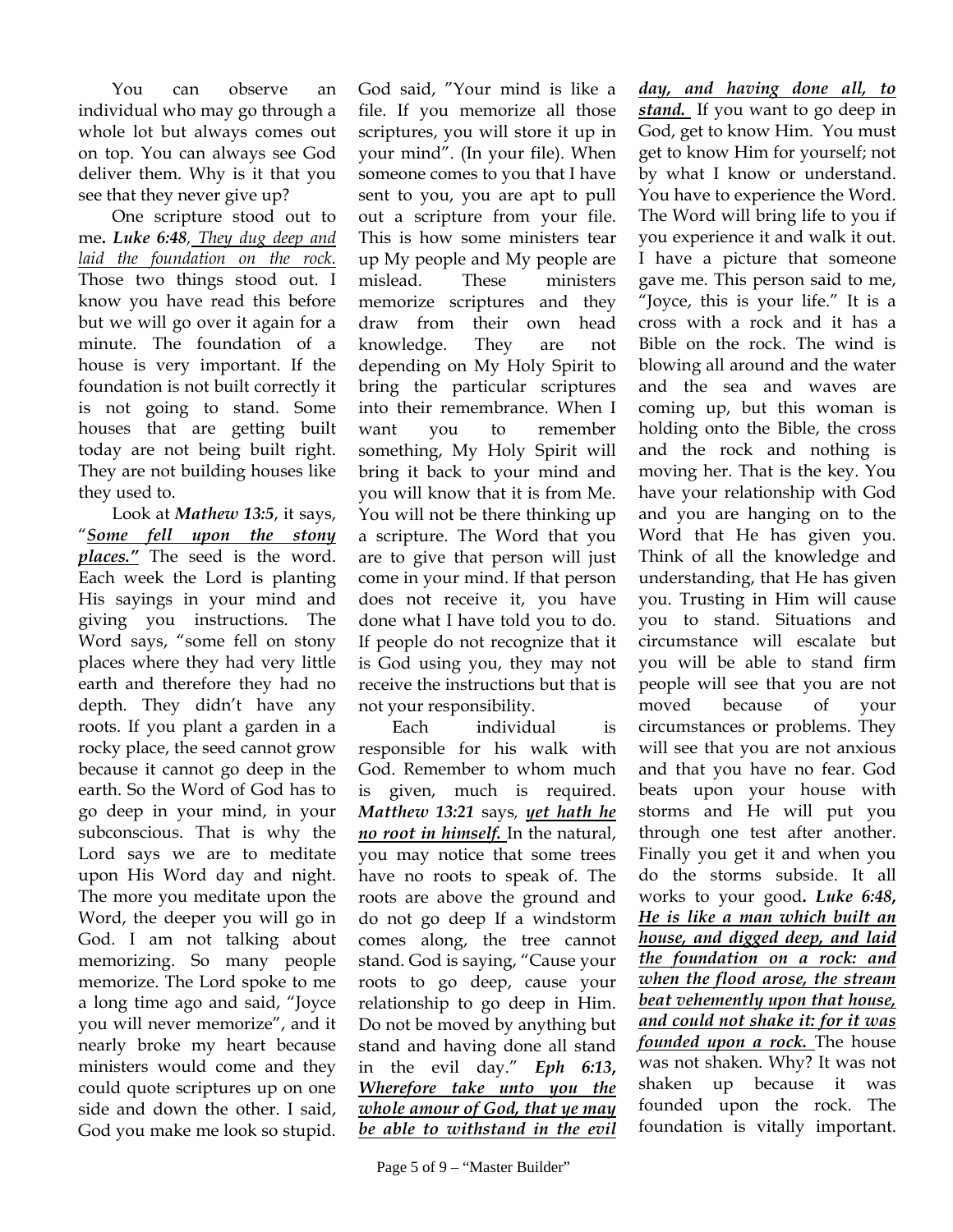You can observe an individual who may go through a whole lot but always comes out on top. You can always see God deliver them. Why is it that you see that they never give up?

One scripture stood out to me**.** *Luke 6:48, They dug deep and laid the foundation on the rock.*  Those two things stood out. I know you have read this before but we will go over it again for a minute. The foundation of a house is very important. If the foundation is not built correctly it is not going to stand. Some houses that are getting built today are not being built right. They are not building houses like they used to.

Look at *Mathew 13:5*, it says, "*Some fell upon the stony places."* The seed is the word. Each week the Lord is planting His sayings in your mind and giving you instructions. The Word says, "some fell on stony places where they had very little earth and therefore they had no depth. They didn't have any roots. If you plant a garden in a rocky place, the seed cannot grow because it cannot go deep in the earth. So the Word of God has to go deep in your mind, in your subconscious. That is why the Lord says we are to meditate upon His Word day and night. The more you meditate upon the Word, the deeper you will go in God. I am not talking about memorizing. So many people memorize. The Lord spoke to me a long time ago and said, "Joyce you will never memorize", and it nearly broke my heart because ministers would come and they could quote scriptures up on one side and down the other. I said, God you make me look so stupid.

God said, "Your mind is like a file. If you memorize all those scriptures, you will store it up in your mind". (In your file). When someone comes to you that I have sent to you, you are apt to pull out a scripture from your file. This is how some ministers tear up My people and My people are mislead. These ministers memorize scriptures and they draw from their own head knowledge. They are not depending on My Holy Spirit to bring the particular scriptures into their remembrance. When I want you to remember something, My Holy Spirit will bring it back to your mind and you will know that it is from Me. You will not be there thinking up a scripture. The Word that you are to give that person will just come in your mind. If that person does not receive it, you have done what I have told you to do. If people do not recognize that it is God using you, they may not receive the instructions but that is not your responsibility.

Each individual is responsible for his walk with God. Remember to whom much is given, much is required. *Matthew 13:21* says*, yet hath he no root in himself.* In the natural, you may notice that some trees have no roots to speak of. The roots are above the ground and do not go deep If a windstorm comes along, the tree cannot stand. God is saying, "Cause your roots to go deep, cause your relationship to go deep in Him. Do not be moved by anything but stand and having done all stand in the evil day." *Eph 6:13***,**  *Wherefore take unto you the whole amour of God, that ye may be able to withstand in the evil* 

*day, and having done all, to stand.* If you want to go deep in God, get to know Him. You must get to know Him for yourself; not by what I know or understand. You have to experience the Word. The Word will bring life to you if you experience it and walk it out. I have a picture that someone gave me. This person said to me, "Joyce, this is your life." It is a cross with a rock and it has a Bible on the rock. The wind is blowing all around and the water and the sea and waves are coming up, but this woman is holding onto the Bible, the cross and the rock and nothing is moving her. That is the key. You have your relationship with God and you are hanging on to the Word that He has given you. Think of all the knowledge and understanding, that He has given you. Trusting in Him will cause you to stand. Situations and circumstance will escalate but you will be able to stand firm people will see that you are not moved because of your circumstances or problems. They will see that you are not anxious and that you have no fear. God beats upon your house with storms and He will put you through one test after another. Finally you get it and when you do the storms subside. It all works to your good**.** *Luke 6:48***,** *He is like a man which built an house, and digged deep, and laid the foundation on a rock: and when the flood arose, the stream beat vehemently upon that house, and could not shake it: for it was founded upon a rock.* The house was not shaken. Why? It was not shaken up because it was founded upon the rock. The foundation is vitally important.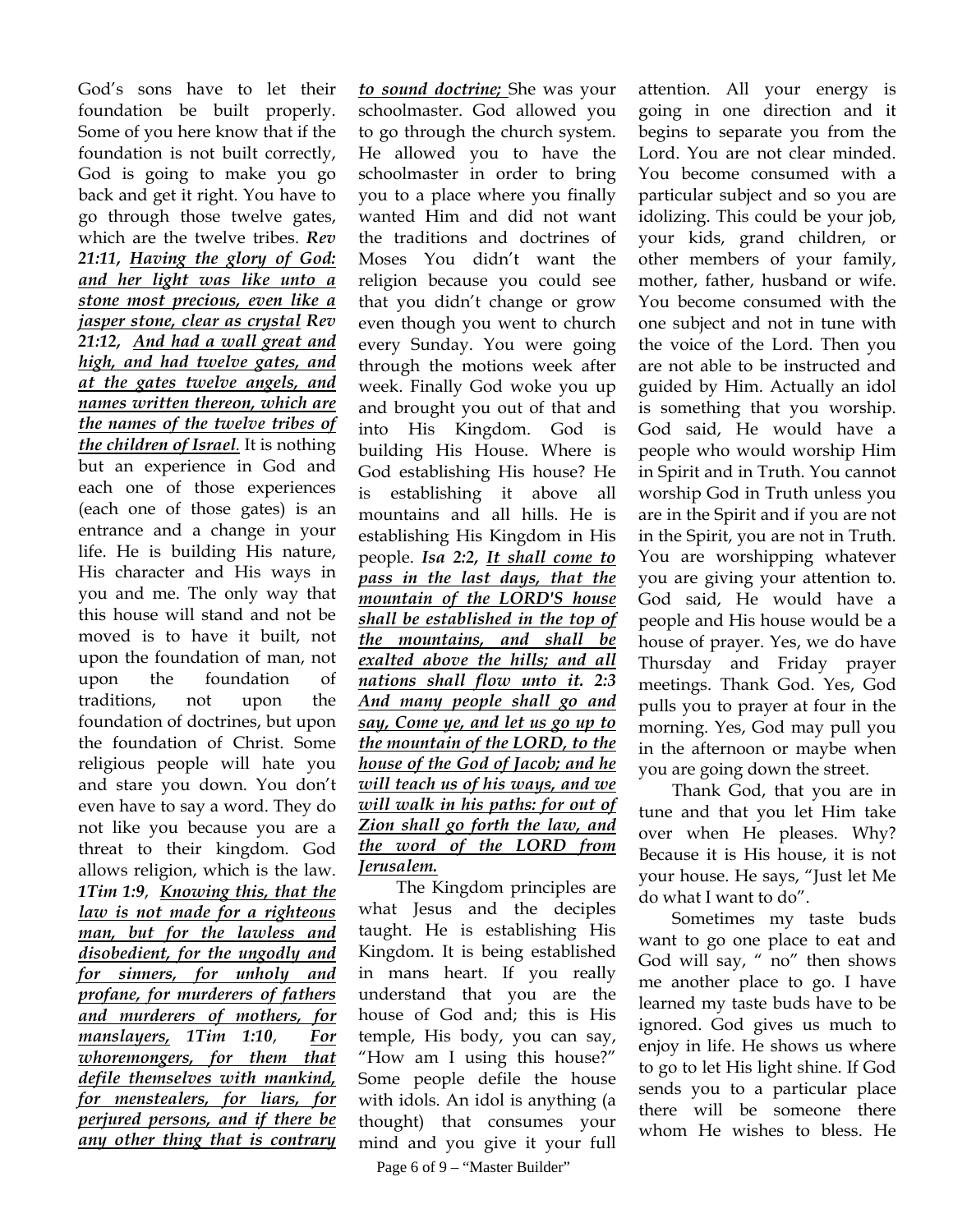God's sons have to let their foundation be built properly. Some of you here know that if the foundation is not built correctly, God is going to make you go back and get it right. You have to go through those twelve gates, which are the twelve tribes. *Rev 21:11, Having the glory of God: and her light was like unto a stone most precious, even like a jasper stone, clear as crystal Rev 21:12, And had a wall great and high, and had twelve gates, and at the gates twelve angels, and names written thereon, which are the names of the twelve tribes of the children of Israel.* It is nothing but an experience in God and each one of those experiences (each one of those gates) is an entrance and a change in your life. He is building His nature, His character and His ways in you and me. The only way that this house will stand and not be moved is to have it built, not upon the foundation of man, not upon the foundation of traditions, not upon the foundation of doctrines, but upon the foundation of Christ. Some religious people will hate you and stare you down. You don't even have to say a word. They do not like you because you are a threat to their kingdom. God allows religion, which is the law. *1Tim 1:9*, *Knowing this, that the law is not made for a righteous man, but for the lawless and disobedient, for the ungodly and for sinners, for unholy and profane, for murderers of fathers and murderers of mothers, for manslayers, 1Tim 1:10*, *For whoremongers, for them that defile themselves with mankind, for menstealers, for liars, for perjured persons, and if there be any other thing that is contrary* 

*to sound doctrine;* She was your schoolmaster. God allowed you to go through the church system. He allowed you to have the schoolmaster in order to bring you to a place where you finally wanted Him and did not want the traditions and doctrines of Moses You didn't want the religion because you could see that you didn't change or grow even though you went to church every Sunday. You were going through the motions week after week. Finally God woke you up and brought you out of that and into His Kingdom. God is building His House. Where is God establishing His house? He is establishing it above all mountains and all hills. He is establishing His Kingdom in His people. *Isa 2:2, It shall come to pass in the last days, that the mountain of the LORD'S house shall be established in the top of the mountains, and shall be exalted above the hills; and all nations shall flow unto it. 2:3 And many people shall go and say, Come ye, and let us go up to the mountain of the LORD, to the house of the God of Jacob; and he will teach us of his ways, and we will walk in his paths: for out of Zion shall go forth the law, and the word of the LORD from Jerusalem.*

The Kingdom principles are what Jesus and the deciples taught. He is establishing His Kingdom. It is being established in mans heart. If you really understand that you are the house of God and; this is His temple, His body, you can say, "How am I using this house?" Some people defile the house with idols. An idol is anything (a thought) that consumes your mind and you give it your full

attention. All your energy is going in one direction and it begins to separate you from the Lord. You are not clear minded. You become consumed with a particular subject and so you are idolizing. This could be your job, your kids, grand children, or other members of your family, mother, father, husband or wife. You become consumed with the one subject and not in tune with the voice of the Lord. Then you are not able to be instructed and guided by Him. Actually an idol is something that you worship. God said, He would have a people who would worship Him in Spirit and in Truth. You cannot worship God in Truth unless you are in the Spirit and if you are not in the Spirit, you are not in Truth. You are worshipping whatever you are giving your attention to. God said, He would have a people and His house would be a house of prayer. Yes, we do have Thursday and Friday prayer meetings. Thank God. Yes, God pulls you to prayer at four in the morning. Yes, God may pull you in the afternoon or maybe when you are going down the street.

Thank God, that you are in tune and that you let Him take over when He pleases. Why? Because it is His house, it is not your house. He says, "Just let Me do what I want to do".

Sometimes my taste buds want to go one place to eat and God will say, " no" then shows me another place to go. I have learned my taste buds have to be ignored. God gives us much to enjoy in life. He shows us where to go to let His light shine. If God sends you to a particular place there will be someone there whom He wishes to bless. He

Page 6 of 9 – "Master Builder"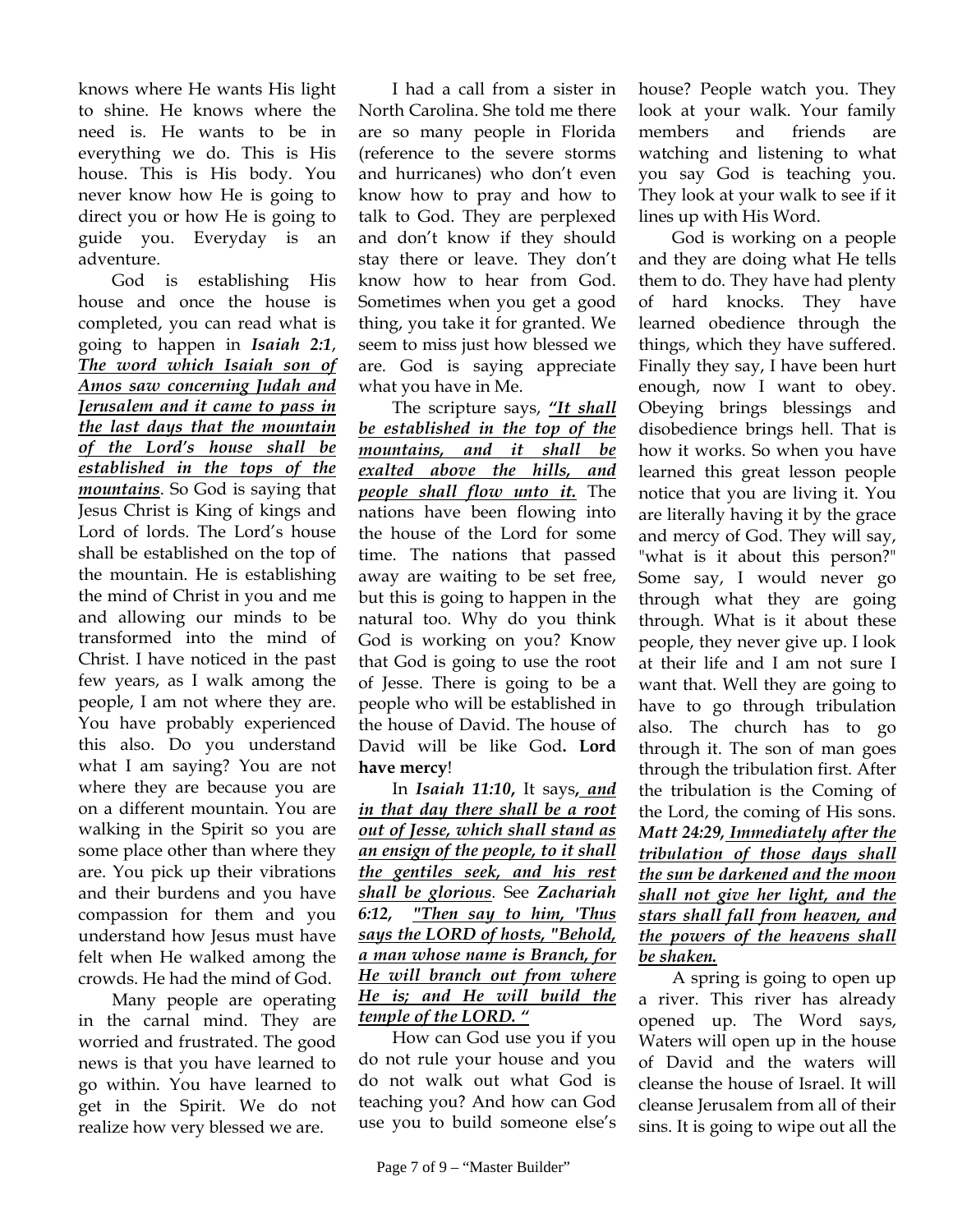knows where He wants His light to shine. He knows where the need is. He wants to be in everything we do. This is His house. This is His body. You never know how He is going to direct you or how He is going to guide you. Everyday is an adventure.

God is establishing His house and once the house is completed, you can read what is going to happen in *Isaiah 2:1*, *The word which Isaiah son of Amos saw concerning Judah and Jerusalem and it came to pass in the last days that the mountain of the Lord's house shall be established in the tops of the mountains*. So God is saying that Jesus Christ is King of kings and Lord of lords. The Lord's house shall be established on the top of the mountain. He is establishing the mind of Christ in you and me and allowing our minds to be transformed into the mind of Christ. I have noticed in the past few years, as I walk among the people, I am not where they are. You have probably experienced this also. Do you understand what I am saying? You are not where they are because you are on a different mountain. You are walking in the Spirit so you are some place other than where they are. You pick up their vibrations and their burdens and you have compassion for them and you understand how Jesus must have felt when He walked among the crowds. He had the mind of God.

Many people are operating in the carnal mind. They are worried and frustrated. The good news is that you have learned to go within. You have learned to get in the Spirit. We do not realize how very blessed we are.

I had a call from a sister in North Carolina. She told me there are so many people in Florida (reference to the severe storms and hurricanes) who don't even know how to pray and how to talk to God. They are perplexed and don't know if they should stay there or leave. They don't know how to hear from God. Sometimes when you get a good thing, you take it for granted. We seem to miss just how blessed we are. God is saying appreciate what you have in Me.

The scripture says, *"It shall be established in the top of the mountains, and it shall be exalted above the hills, and people shall flow unto it.* The nations have been flowing into the house of the Lord for some time. The nations that passed away are waiting to be set free, but this is going to happen in the natural too. Why do you think God is working on you? Know that God is going to use the root of Jesse. There is going to be a people who will be established in the house of David. The house of David will be like God**. Lord have mercy**!

In *Isaiah 11:10***,** It says**,** *and in that day there shall be a root out of Jesse, which shall stand as an ensign of the people, to it shall the gentiles seek, and his rest shall be glorious.* See *Zachariah 6:12, "Then say to him, 'Thus says the LORD of hosts, "Behold, a man whose name is Branch, for He will branch out from where He is; and He will build the temple of the LORD. "*

How can God use you if you do not rule your house and you do not walk out what God is teaching you? And how can God use you to build someone else's house? People watch you. They look at your walk. Your family members and friends are watching and listening to what you say God is teaching you. They look at your walk to see if it lines up with His Word.

God is working on a people and they are doing what He tells them to do. They have had plenty of hard knocks. They have learned obedience through the things, which they have suffered. Finally they say, I have been hurt enough, now I want to obey. Obeying brings blessings and disobedience brings hell. That is how it works. So when you have learned this great lesson people notice that you are living it. You are literally having it by the grace and mercy of God. They will say, "what is it about this person?" Some say, I would never go through what they are going through. What is it about these people, they never give up. I look at their life and I am not sure I want that. Well they are going to have to go through tribulation also. The church has to go through it. The son of man goes through the tribulation first. After the tribulation is the Coming of the Lord, the coming of His sons. *Matt 24:29, Immediately after the tribulation of those days shall the sun be darkened and the moon shall not give her light, and the stars shall fall from heaven, and the powers of the heavens shall be shaken.*

A spring is going to open up a river. This river has already opened up. The Word says, Waters will open up in the house of David and the waters will cleanse the house of Israel. It will cleanse Jerusalem from all of their sins. It is going to wipe out all the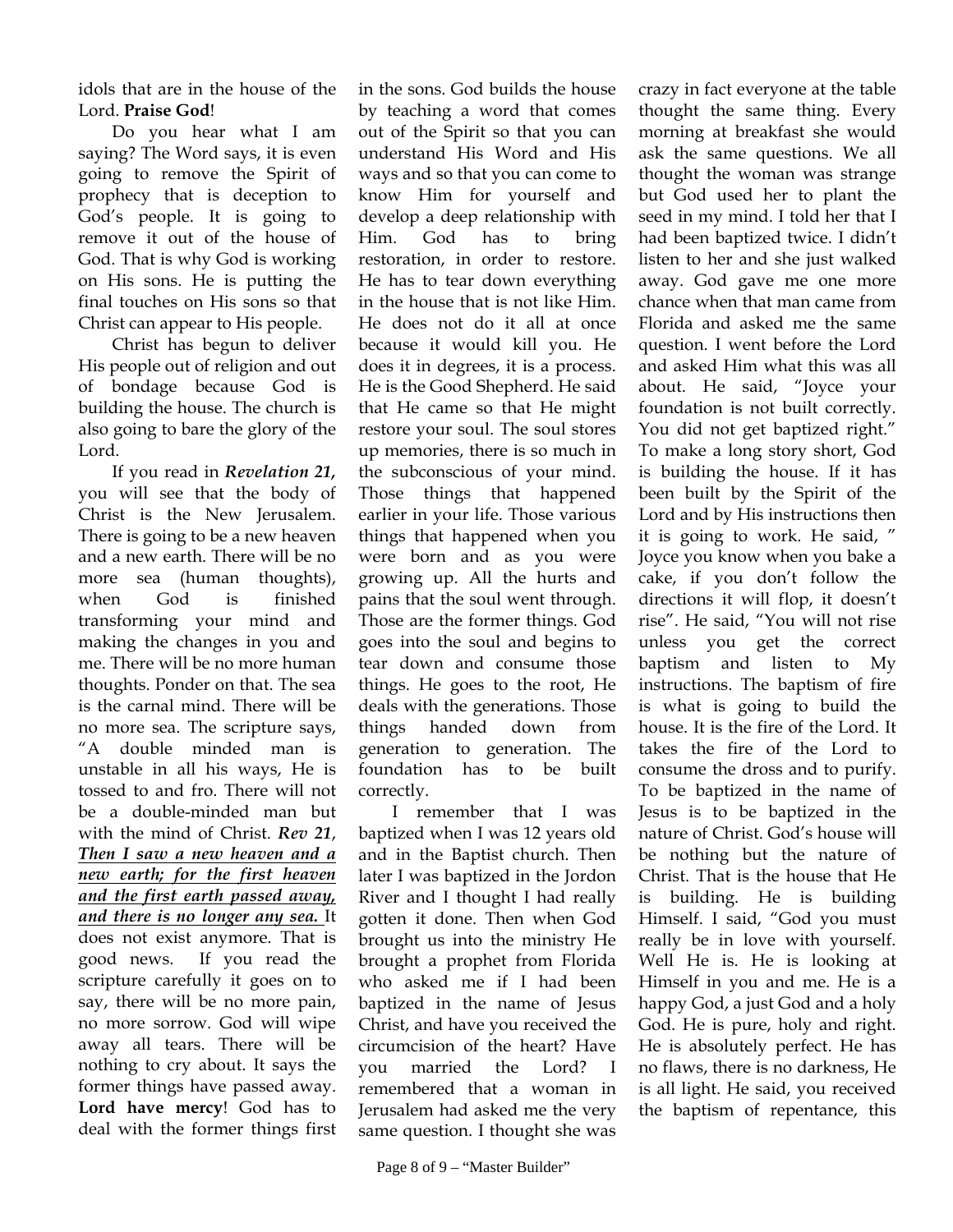idols that are in the house of the Lord. **Praise God**!

Do you hear what I am saying? The Word says, it is even going to remove the Spirit of prophecy that is deception to God's people. It is going to remove it out of the house of God. That is why God is working on His sons. He is putting the final touches on His sons so that Christ can appear to His people.

Christ has begun to deliver His people out of religion and out of bondage because God is building the house. The church is also going to bare the glory of the Lord.

If you read in *Revelation 21,* you will see that the body of Christ is the New Jerusalem. There is going to be a new heaven and a new earth. There will be no more sea (human thoughts), when God is finished transforming your mind and making the changes in you and me. There will be no more human thoughts. Ponder on that. The sea is the carnal mind. There will be no more sea. The scripture says, "A double minded man is unstable in all his ways, He is tossed to and fro. There will not be a double-minded man but with the mind of Christ. *Rev 21*, *Then I saw a new heaven and a new earth; for the first heaven and the first earth passed away, and there is no longer any sea.* It does not exist anymore. That is good news. If you read the scripture carefully it goes on to say, there will be no more pain, no more sorrow. God will wipe away all tears. There will be nothing to cry about. It says the former things have passed away. **Lord have mercy**! God has to deal with the former things first

in the sons. God builds the house by teaching a word that comes out of the Spirit so that you can understand His Word and His ways and so that you can come to know Him for yourself and develop a deep relationship with Him. God has to bring restoration, in order to restore. He has to tear down everything in the house that is not like Him. He does not do it all at once because it would kill you. He does it in degrees, it is a process. He is the Good Shepherd. He said that He came so that He might restore your soul. The soul stores up memories, there is so much in the subconscious of your mind. Those things that happened earlier in your life. Those various things that happened when you were born and as you were growing up. All the hurts and pains that the soul went through. Those are the former things. God goes into the soul and begins to tear down and consume those things. He goes to the root, He deals with the generations. Those things handed down from generation to generation. The foundation has to be built correctly.

I remember that I was baptized when I was 12 years old and in the Baptist church. Then later I was baptized in the Jordon River and I thought I had really gotten it done. Then when God brought us into the ministry He brought a prophet from Florida who asked me if I had been baptized in the name of Jesus Christ, and have you received the circumcision of the heart? Have you married the Lord? I remembered that a woman in Jerusalem had asked me the very same question. I thought she was

crazy in fact everyone at the table thought the same thing. Every morning at breakfast she would ask the same questions. We all thought the woman was strange but God used her to plant the seed in my mind. I told her that I had been baptized twice. I didn't listen to her and she just walked away. God gave me one more chance when that man came from Florida and asked me the same question. I went before the Lord and asked Him what this was all about. He said, "Joyce your foundation is not built correctly. You did not get baptized right." To make a long story short, God is building the house. If it has been built by the Spirit of the Lord and by His instructions then it is going to work. He said, " Joyce you know when you bake a cake, if you don't follow the directions it will flop, it doesn't rise". He said, "You will not rise unless you get the correct baptism and listen to My instructions. The baptism of fire is what is going to build the house. It is the fire of the Lord. It takes the fire of the Lord to consume the dross and to purify. To be baptized in the name of Jesus is to be baptized in the nature of Christ. God's house will be nothing but the nature of Christ. That is the house that He is building. He is building Himself. I said, "God you must really be in love with yourself. Well He is. He is looking at Himself in you and me. He is a happy God, a just God and a holy God. He is pure, holy and right. He is absolutely perfect. He has no flaws, there is no darkness, He is all light. He said, you received the baptism of repentance, this